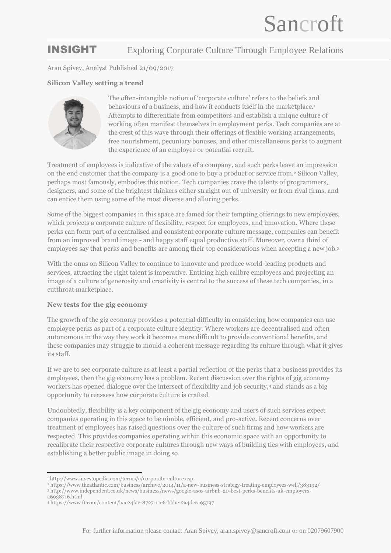## INSIGHT Exploring Corporate Culture Through Employee Relations

Aran Spivey, Analyst Published 21/09/2017

## **Silicon Valley setting a trend**



The often-intangible notion of 'corporate culture' refers to the beliefs and behaviours of a business, and how it conducts itself in the marketplace.<sup>1</sup> Attempts to differentiate from competitors and establish a unique culture of working often manifest themselves in employment perks. Tech companies are at the crest of this wave through their offerings of flexible working arrangements, free nourishment, pecuniary bonuses, and other miscellaneous perks to augment the experience of an employee or potential recruit.

Treatment of employees is indicative of the values of a company, and such perks leave an impression on the end customer that the company is a good one to buy a product or service from.<sup>2</sup> Silicon Valley, perhaps most famously, embodies this notion. Tech companies crave the talents of programmers, designers, and some of the brightest thinkers either straight out of university or from rival firms, and can entice them using some of the most diverse and alluring perks.

Some of the biggest companies in this space are famed for their tempting offerings to new employees, which projects a corporate culture of flexibility, respect for employees, and innovation. Where these perks can form part of a centralised and consistent corporate culture message, companies can benefit from an improved brand image - and happy staff equal productive staff. Moreover, over a third of employees say that perks and benefits are among their top considerations when accepting a new job.<sup>3</sup>

With the onus on Silicon Valley to continue to innovate and produce world-leading products and services, attracting the right talent is imperative. Enticing high calibre employees and projecting an image of a culture of generosity and creativity is central to the success of these tech companies, in a cutthroat marketplace.

### **New tests for the gig economy**

The growth of the gig economy provides a potential difficulty in considering how companies can use employee perks as part of a corporate culture identity. Where workers are decentralised and often autonomous in the way they work it becomes more difficult to provide conventional benefits, and these companies may struggle to mould a coherent message regarding its culture through what it gives its staff.

If we are to see corporate culture as at least a partial reflection of the perks that a business provides its employees, then the gig economy has a problem. Recent discussion over the rights of gig economy workers has opened dialogue over the intersect of flexibility and job security,<sup>4</sup> and stands as a big opportunity to reassess how corporate culture is crafted.

Undoubtedly, flexibility is a key component of the gig economy and users of such services expect companies operating in this space to be nimble, efficient, and pro-active. Recent concerns over treatment of employees has raised questions over the culture of such firms and how workers are respected. This provides companies operating within this economic space with an opportunity to recalibrate their respective corporate cultures through new ways of building ties with employees, and establishing a better public image in doing so.

<sup>&</sup>lt;u>.</u> <sup>1</sup> http://www.investopedia.com/terms/c/corporate-culture.asp

<sup>2</sup> https://www.theatlantic.com/business/archive/2014/11/a-new-business-strategy-treating-employees-well/383192/ <sup>3</sup> http://www.independent.co.uk/news/business/news/google-asos-airbnb-20-best-perks-benefits-uk-employersa6938716.html

<sup>4</sup> https://www.ft.com/content/bae24fae-8727-11e6-bbbe-2a4dcea95797